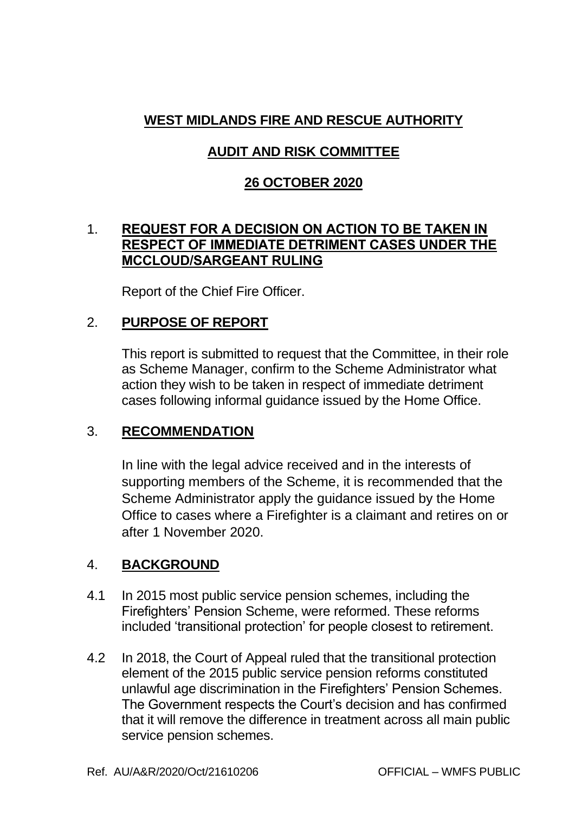# **WEST MIDLANDS FIRE AND RESCUE AUTHORITY**

# **AUDIT AND RISK COMMITTEE**

### **26 OCTOBER 2020**

### 1. **REQUEST FOR A DECISION ON ACTION TO BE TAKEN IN RESPECT OF IMMEDIATE DETRIMENT CASES UNDER THE MCCLOUD/SARGEANT RULING**

Report of the Chief Fire Officer.

### 2. **PURPOSE OF REPORT**

This report is submitted to request that the Committee, in their role as Scheme Manager, confirm to the Scheme Administrator what action they wish to be taken in respect of immediate detriment cases following informal guidance issued by the Home Office.

### 3. **RECOMMENDATION**

In line with the legal advice received and in the interests of supporting members of the Scheme, it is recommended that the Scheme Administrator apply the guidance issued by the Home Office to cases where a Firefighter is a claimant and retires on or after 1 November 2020.

### 4. **BACKGROUND**

- 4.1 In 2015 most public service pension schemes, including the Firefighters' Pension Scheme, were reformed. These reforms included 'transitional protection' for people closest to retirement.
- 4.2 In 2018, the Court of Appeal ruled that the transitional protection element of the 2015 public service pension reforms constituted unlawful age discrimination in the Firefighters' Pension Schemes. The Government respects the Court's decision and has confirmed that it will remove the difference in treatment across all main public service pension schemes.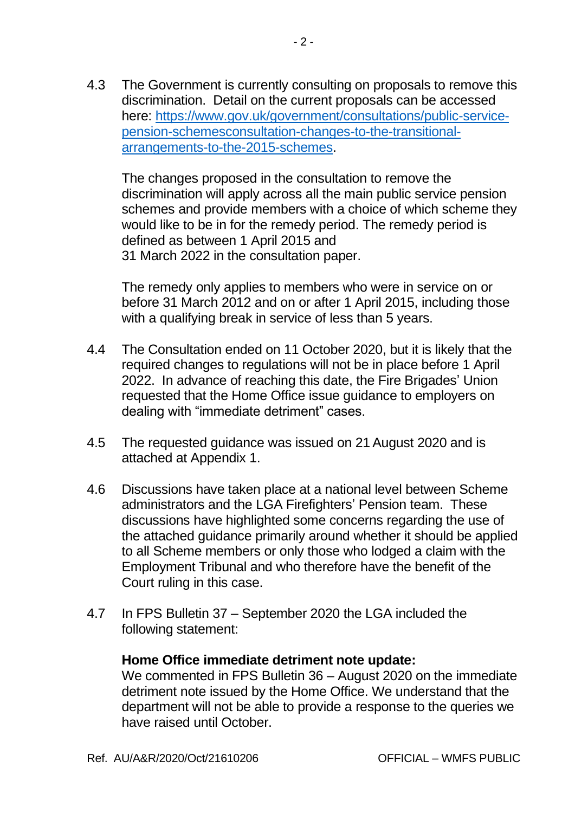4.3 The Government is currently consulting on proposals to remove this discrimination. Detail on the current proposals can be accessed here: [https://www.gov.uk/government/consultations/public-service](https://www.gov.uk/government/consultations/public-service-pension-schemesconsultation-changes-to-the-transitional-arrangements-to-the-2015-schemes)[pension-schemesconsultation-changes-to-the-transitional](https://www.gov.uk/government/consultations/public-service-pension-schemesconsultation-changes-to-the-transitional-arrangements-to-the-2015-schemes)[arrangements-to-the-2015-schemes.](https://www.gov.uk/government/consultations/public-service-pension-schemesconsultation-changes-to-the-transitional-arrangements-to-the-2015-schemes)

The changes proposed in the consultation to remove the discrimination will apply across all the main public service pension schemes and provide members with a choice of which scheme they would like to be in for the remedy period. The remedy period is defined as between 1 April 2015 and 31 March 2022 in the consultation paper.

The remedy only applies to members who were in service on or before 31 March 2012 and on or after 1 April 2015, including those with a qualifying break in service of less than 5 years.

- 4.4 The Consultation ended on 11 October 2020, but it is likely that the required changes to regulations will not be in place before 1 April 2022. In advance of reaching this date, the Fire Brigades' Union requested that the Home Office issue guidance to employers on dealing with "immediate detriment" cases.
- 4.5 The requested guidance was issued on 21August 2020 and is attached at Appendix 1.
- 4.6 Discussions have taken place at a national level between Scheme administrators and the LGA Firefighters' Pension team. These discussions have highlighted some concerns regarding the use of the attached guidance primarily around whether it should be applied to all Scheme members or only those who lodged a claim with the Employment Tribunal and who therefore have the benefit of the Court ruling in this case.
- 4.7 In FPS Bulletin 37 September 2020 the LGA included the following statement:

#### **Home Office immediate detriment note update:**

We commented in FPS Bulletin 36 – August 2020 on the immediate detriment note issued by the Home Office. We understand that the department will not be able to provide a response to the queries we have raised until October.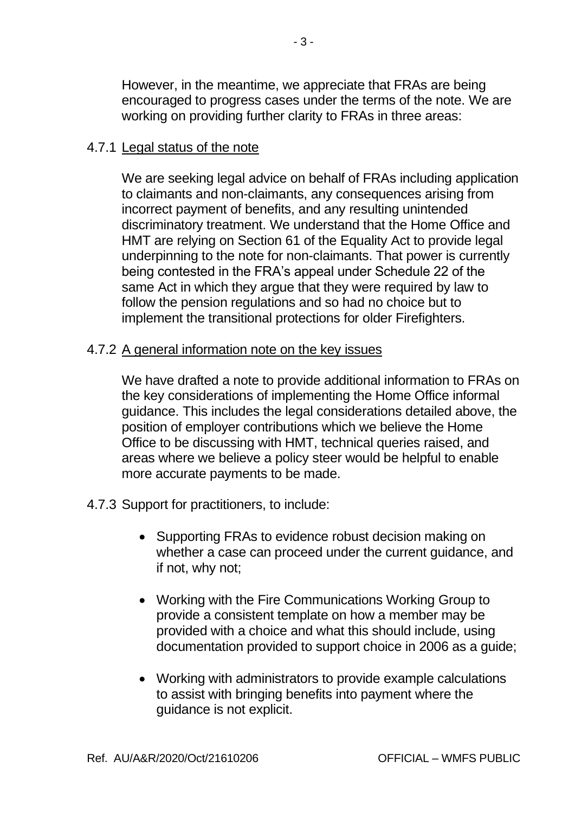However, in the meantime, we appreciate that FRAs are being encouraged to progress cases under the terms of the note. We are working on providing further clarity to FRAs in three areas:

#### 4.7.1 Legal status of the note

We are seeking legal advice on behalf of FRAs including application to claimants and non-claimants, any consequences arising from incorrect payment of benefits, and any resulting unintended discriminatory treatment. We understand that the Home Office and HMT are relying on Section 61 of the Equality Act to provide legal underpinning to the note for non-claimants. That power is currently being contested in the FRA's appeal under Schedule 22 of the same Act in which they argue that they were required by law to follow the pension regulations and so had no choice but to implement the transitional protections for older Firefighters.

#### 4.7.2 A general information note on the key issues

We have drafted a note to provide additional information to FRAs on the key considerations of implementing the Home Office informal guidance. This includes the legal considerations detailed above, the position of employer contributions which we believe the Home Office to be discussing with HMT, technical queries raised, and areas where we believe a policy steer would be helpful to enable more accurate payments to be made.

- 4.7.3 Support for practitioners, to include:
	- Supporting FRAs to evidence robust decision making on whether a case can proceed under the current guidance, and if not, why not;
	- Working with the Fire Communications Working Group to provide a consistent template on how a member may be provided with a choice and what this should include, using documentation provided to support choice in 2006 as a guide;
	- Working with administrators to provide example calculations to assist with bringing benefits into payment where the guidance is not explicit.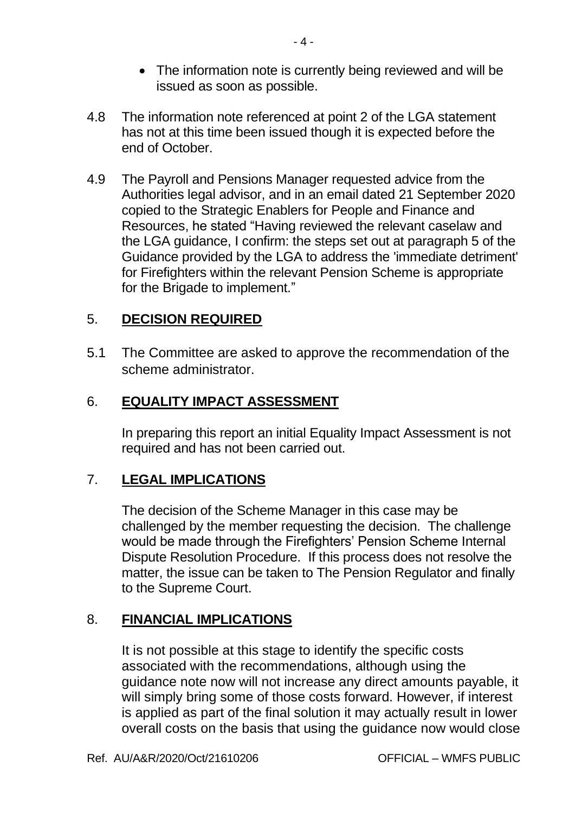- The information note is currently being reviewed and will be issued as soon as possible.
- 4.8 The information note referenced at point 2 of the LGA statement has not at this time been issued though it is expected before the end of October.
- 4.9 The Payroll and Pensions Manager requested advice from the Authorities legal advisor, and in an email dated 21 September 2020 copied to the Strategic Enablers for People and Finance and Resources, he stated "Having reviewed the relevant caselaw and the LGA guidance, I confirm: the steps set out at paragraph 5 of the Guidance provided by the LGA to address the 'immediate detriment' for Firefighters within the relevant Pension Scheme is appropriate for the Brigade to implement."

## 5. **DECISION REQUIRED**

5.1 The Committee are asked to approve the recommendation of the scheme administrator.

## 6. **EQUALITY IMPACT ASSESSMENT**

In preparing this report an initial Equality Impact Assessment is not required and has not been carried out.

## 7. **LEGAL IMPLICATIONS**

The decision of the Scheme Manager in this case may be challenged by the member requesting the decision. The challenge would be made through the Firefighters' Pension Scheme Internal Dispute Resolution Procedure. If this process does not resolve the matter, the issue can be taken to The Pension Regulator and finally to the Supreme Court.

## 8. **FINANCIAL IMPLICATIONS**

It is not possible at this stage to identify the specific costs associated with the recommendations, although using the guidance note now will not increase any direct amounts payable, it will simply bring some of those costs forward. However, if interest is applied as part of the final solution it may actually result in lower overall costs on the basis that using the guidance now would close